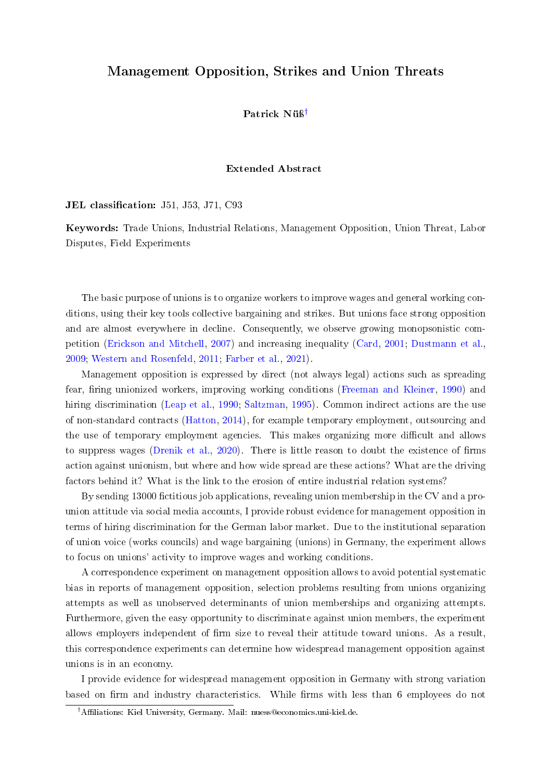## Management Opposition, Strikes and Union Threats

Patrick Nüß<sup>†</sup>

Extended Abstract

JEL classification:  $J51, J53, J71, C93$ 

Keywords: Trade Unions, Industrial Relations, Management Opposition, Union Threat, Labor Disputes, Field Experiments

The basic purpose of unions is to organize workers to improve wages and general working conditions, using their key tools collective bargaining and strikes. But unions face strong opposition and are almost everywhere in decline. Consequently, we observe growing monopsonistic competition [\(Erickson and Mitchell,](#page-2-0) [2007\)](#page-2-0) and increasing inequality [\(Card,](#page-2-1) [2001;](#page-2-1) [Dustmann et al.,](#page-2-2) [2009;](#page-2-2) [Western and Rosenfeld,](#page-2-3) [2011;](#page-2-3) [Farber et al.,](#page-2-4) [2021\)](#page-2-4).

Management opposition is expressed by direct (not always legal) actions such as spreading fear, firing unionized workers, improving working conditions [\(Freeman and Kleiner,](#page-2-5) [1990\)](#page-2-5) and hiring discrimination [\(Leap et al.,](#page-2-6) [1990;](#page-2-6) [Saltzman,](#page-2-7) [1995\)](#page-2-7). Common indirect actions are the use of non-standard contracts [\(Hatton,](#page-2-8) [2014\)](#page-2-8), for example temporary employment, outsourcing and the use of temporary employment agencies. This makes organizing more difficult and allows to suppress wages [\(Drenik et al.,](#page-2-9)  $2020$ ). There is little reason to doubt the existence of firms action against unionism, but where and how wide spread are these actions? What are the driving factors behind it? What is the link to the erosion of entire industrial relation systems?

By sending 13000 fictitious job applications, revealing union membership in the CV and a prounion attitude via social media accounts, I provide robust evidence for management opposition in terms of hiring discrimination for the German labor market. Due to the institutional separation of union voice (works councils) and wage bargaining (unions) in Germany, the experiment allows to focus on unions' activity to improve wages and working conditions.

A correspondence experiment on management opposition allows to avoid potential systematic bias in reports of management opposition, selection problems resulting from unions organizing attempts as well as unobserved determinants of union memberships and organizing attempts. Furthermore, given the easy opportunity to discriminate against union members, the experiment allows employers independent of firm size to reveal their attitude toward unions. As a result, this correspondence experiments can determine how widespread management opposition against unions is in an economy.

I provide evidence for widespread management opposition in Germany with strong variation based on firm and industry characteristics. While firms with less than 6 employees do not

<span id="page-0-0"></span><sup>&</sup>lt;sup>†</sup>Affiliations: Kiel University, Germany. Mail: nuess@economics.uni-kiel.de.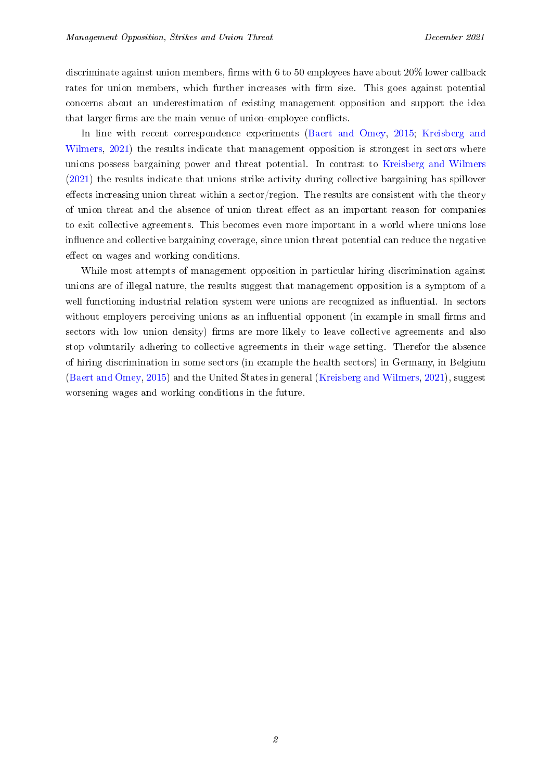discriminate against union members, firms with 6 to 50 employees have about  $20\%$  lower callback rates for union members, which further increases with firm size. This goes against potential concerns about an underestimation of existing management opposition and support the idea that larger firms are the main venue of union-employee conflicts.

In line with recent correspondence experiments [\(Baert and Omey,](#page-2-10) [2015;](#page-2-10) [Kreisberg and](#page-2-11) [Wilmers,](#page-2-11) [2021\)](#page-2-11) the results indicate that management opposition is strongest in sectors where unions possess bargaining power and threat potential. In contrast to [Kreisberg and Wilmers](#page-2-11) [\(2021\)](#page-2-11) the results indicate that unions strike activity during collective bargaining has spillover  $\theta$  effects increasing union threat within a sector/region. The results are consistent with the theory of union threat and the absence of union threat effect as an important reason for companies to exit collective agreements. This becomes even more important in a world where unions lose influence and collective bargaining coverage, since union threat potential can reduce the negative effect on wages and working conditions.

While most attempts of management opposition in particular hiring discrimination against unions are of illegal nature, the results suggest that management opposition is a symptom of a well functioning industrial relation system were unions are recognized as influential. In sectors without employers perceiving unions as an influential opponent (in example in small firms and sectors with low union density) firms are more likely to leave collective agreements and also stop voluntarily adhering to collective agreements in their wage setting. Therefor the absence of hiring discrimination in some sectors (in example the health sectors) in Germany, in Belgium [\(Baert and Omey,](#page-2-10) [2015\)](#page-2-10) and the United States in general [\(Kreisberg and Wilmers,](#page-2-11) [2021\)](#page-2-11), suggest worsening wages and working conditions in the future.